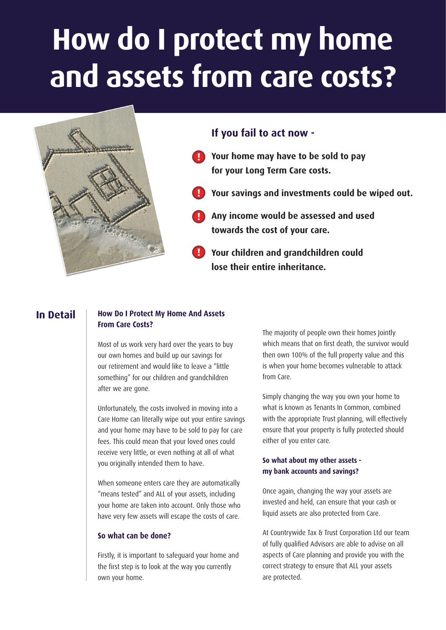# **How do I protect my home and assets from care costs?**

**!**



## **If you fail to act now -**

- **These assets would include the sold to pay home your Long Term Care costs. !**
- **Simple legitimate of Planning in advance of requiring care advance of requiring the same of requiring the same of requiring the same of the same of the same of the same of the same of the same of the same of the same of t** 
	- **Any income would be assessed and used towards the cost of your care. !**
	- **Your children and grandchildren could !lose their entire inheritance.**

## **In Detail**

#### **How Do I Protect My Home And Assets From Care Costs?**

Most of us work very hard over the years to buy our own homes and build up our savings for our retirement and would like to leave a "little something" for our children and grandchildren after we are gone.

Unfortunately, the costs involved in moving into a Care Home can literally wipe out your entire savings and your home may have to be sold to pay for care fees. This could mean that your loved ones could receive very little, or even nothing at all of what you originally intended them to have.

When someone enters care they are automatically "means tested" and ALL of your assets, including your home are taken into account. Only those who have very few assets will escape the costs of care.

## **So what can be done?**

Firstly, it is important to safeguard your home and the first step is to look at the way you currently own your home.

The majority of people own their homes Jointly which means that on first death, the survivor would then own 100% of the full property value and this is when your home becomes vulnerable to attack from Care.

Simply changing the way you own your home to what is known as Tenants In Common, combined with the appropriate Trust planning, will effectively ensure that your property is fully protected should either of you enter care.

### **So what about my other assets my bank accounts and savings?**

Once again, changing the way your assets are invested and held, can ensure that your cash or liquid assets are also protected from Care.

At Countrywide Tax & Trust Corporation Ltd our team of fully qualified Advisors are able to advise on all aspects of Care planning and provide you with the correct strategy to ensure that ALL your assets are protected.